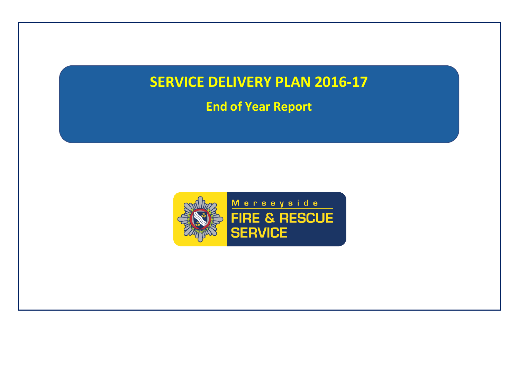# **SERVICE DELIVERY PLAN 2016-17**

**End of Year Report**

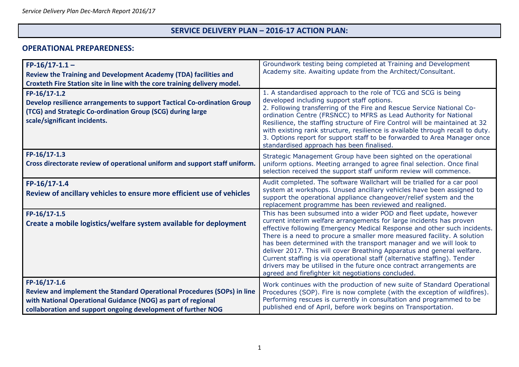#### **SERVICE DELIVERY PLAN – 2016-17 ACTION PLAN:**

#### **OPERATIONAL PREPAREDNESS:**

| $FP-16/17-1.1-$<br><b>Review the Training and Development Academy (TDA) facilities and</b><br>Croxteth Fire Station site in line with the core training delivery model.                                                 | Groundwork testing being completed at Training and Development<br>Academy site. Awaiting update from the Architect/Consultant.                                                                                                                                                                                                                                                                                                                                                                                                                                                                                                                            |
|-------------------------------------------------------------------------------------------------------------------------------------------------------------------------------------------------------------------------|-----------------------------------------------------------------------------------------------------------------------------------------------------------------------------------------------------------------------------------------------------------------------------------------------------------------------------------------------------------------------------------------------------------------------------------------------------------------------------------------------------------------------------------------------------------------------------------------------------------------------------------------------------------|
| FP-16/17-1.2<br>Develop resilience arrangements to support Tactical Co-ordination Group<br>(TCG) and Strategic Co-ordination Group (SCG) during large<br>scale/significant incidents.                                   | 1. A standardised approach to the role of TCG and SCG is being<br>developed including support staff options.<br>2. Following transferring of the Fire and Rescue Service National Co-<br>ordination Centre (FRSNCC) to MFRS as Lead Authority for National<br>Resilience, the staffing structure of Fire Control will be maintained at 32<br>with existing rank structure, resilience is available through recall to duty.<br>3. Options report for support staff to be forwarded to Area Manager once<br>standardised approach has been finalised.                                                                                                       |
| FP-16/17-1.3<br>Cross directorate review of operational uniform and support staff uniform.                                                                                                                              | Strategic Management Group have been sighted on the operational<br>uniform options. Meeting arranged to agree final selection. Once final<br>selection received the support staff uniform review will commence.                                                                                                                                                                                                                                                                                                                                                                                                                                           |
| $FP-16/17-1.4$<br>Review of ancillary vehicles to ensure more efficient use of vehicles                                                                                                                                 | Audit completed. The software Wallchart will be trialled for a car pool<br>system at workshops. Unused ancillary vehicles have been assigned to<br>support the operational appliance changeover/relief system and the<br>replacement programme has been reviewed and realigned.                                                                                                                                                                                                                                                                                                                                                                           |
| $FP-16/17-1.5$<br>Create a mobile logistics/welfare system available for deployment                                                                                                                                     | This has been subsumed into a wider POD and fleet update, however<br>current interim welfare arrangements for large incidents has proven<br>effective following Emergency Medical Response and other such incidents.<br>There is a need to procure a smaller more measured facility. A solution<br>has been determined with the transport manager and we will look to<br>deliver 2017. This will cover Breathing Apparatus and general welfare.<br>Current staffing is via operational staff (alternative staffing). Tender<br>drivers may be utilised in the future once contract arrangements are<br>agreed and firefighter kit negotiations concluded. |
| FP-16/17-1.6<br>Review and implement the Standard Operational Procedures (SOPs) in line<br>with National Operational Guidance (NOG) as part of regional<br>collaboration and support ongoing development of further NOG | Work continues with the production of new suite of Standard Operational<br>Procedures (SOP). Fire is now complete (with the exception of wildfires).<br>Performing rescues is currently in consultation and programmed to be<br>published end of April, before work begins on Transportation.                                                                                                                                                                                                                                                                                                                                                             |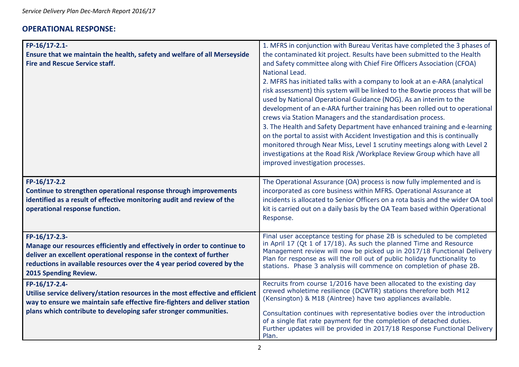### **OPERATIONAL RESPONSE:**

| FP-16/17-2.1-<br>Ensure that we maintain the health, safety and welfare of all Merseyside<br><b>Fire and Rescue Service staff.</b>                                                                                                                                   | 1. MFRS in conjunction with Bureau Veritas have completed the 3 phases of<br>the contaminated kit project. Results have been submitted to the Health<br>and Safety committee along with Chief Fire Officers Association (CFOA)<br>National Lead.<br>2. MFRS has initiated talks with a company to look at an e-ARA (analytical<br>risk assessment) this system will be linked to the Bowtie process that will be<br>used by National Operational Guidance (NOG). As an interim to the<br>development of an e-ARA further training has been rolled out to operational<br>crews via Station Managers and the standardisation process.<br>3. The Health and Safety Department have enhanced training and e-learning<br>on the portal to assist with Accident Investigation and this is continually<br>monitored through Near Miss, Level 1 scrutiny meetings along with Level 2<br>investigations at the Road Risk / Workplace Review Group which have all<br>improved investigation processes. |
|----------------------------------------------------------------------------------------------------------------------------------------------------------------------------------------------------------------------------------------------------------------------|----------------------------------------------------------------------------------------------------------------------------------------------------------------------------------------------------------------------------------------------------------------------------------------------------------------------------------------------------------------------------------------------------------------------------------------------------------------------------------------------------------------------------------------------------------------------------------------------------------------------------------------------------------------------------------------------------------------------------------------------------------------------------------------------------------------------------------------------------------------------------------------------------------------------------------------------------------------------------------------------|
| FP-16/17-2.2<br>Continue to strengthen operational response through improvements<br>identified as a result of effective monitoring audit and review of the<br>operational response function.                                                                         | The Operational Assurance (OA) process is now fully implemented and is<br>incorporated as core business within MFRS. Operational Assurance at<br>incidents is allocated to Senior Officers on a rota basis and the wider OA tool<br>kit is carried out on a daily basis by the OA Team based within Operational<br>Response.                                                                                                                                                                                                                                                                                                                                                                                                                                                                                                                                                                                                                                                                 |
| FP-16/17-2.3-<br>Manage our resources efficiently and effectively in order to continue to<br>deliver an excellent operational response in the context of further<br>reductions in available resources over the 4 year period covered by the<br>2015 Spending Review. | Final user acceptance testing for phase 2B is scheduled to be completed<br>in April 17 (Qt 1 of 17/18). As such the planned Time and Resource<br>Management review will now be picked up in 2017/18 Functional Delivery<br>Plan for response as will the roll out of public holiday functionality to<br>stations. Phase 3 analysis will commence on completion of phase 2B.                                                                                                                                                                                                                                                                                                                                                                                                                                                                                                                                                                                                                  |
| FP-16/17-2.4-<br>Utilise service delivery/station resources in the most effective and efficient<br>way to ensure we maintain safe effective fire-fighters and deliver station<br>plans which contribute to developing safer stronger communities.                    | Recruits from course 1/2016 have been allocated to the existing day<br>crewed wholetime resilience (DCWTR) stations therefore both M12<br>(Kensington) & M18 (Aintree) have two appliances available.<br>Consultation continues with representative bodies over the introduction<br>of a single flat rate payment for the completion of detached duties.<br>Further updates will be provided in 2017/18 Response Functional Delivery<br>Plan.                                                                                                                                                                                                                                                                                                                                                                                                                                                                                                                                                |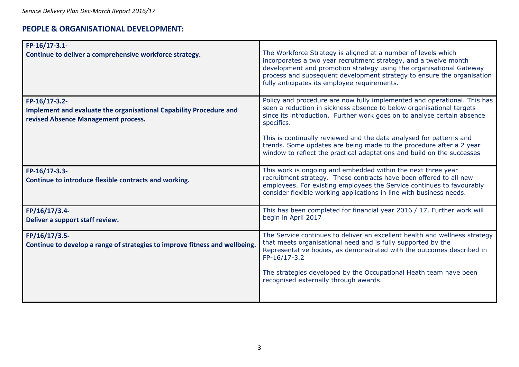### **PEOPLE & ORGANISATIONAL DEVELOPMENT:**

| FP-16/17-3.1-<br>Continue to deliver a comprehensive workforce strategy.                                                   | The Workforce Strategy is aligned at a number of levels which<br>incorporates a two year recruitment strategy, and a twelve month<br>development and promotion strategy using the organisational Gateway<br>process and subsequent development strategy to ensure the organisation<br>fully anticipates its employee requirements.                |
|----------------------------------------------------------------------------------------------------------------------------|---------------------------------------------------------------------------------------------------------------------------------------------------------------------------------------------------------------------------------------------------------------------------------------------------------------------------------------------------|
| FP-16/17-3.2-<br>Implement and evaluate the organisational Capability Procedure and<br>revised Absence Management process. | Policy and procedure are now fully implemented and operational. This has<br>seen a reduction in sickness absence to below organisational targets<br>since its introduction. Further work goes on to analyse certain absence<br>specifics.                                                                                                         |
|                                                                                                                            | This is continually reviewed and the data analysed for patterns and<br>trends. Some updates are being made to the procedure after a 2 year<br>window to reflect the practical adaptations and build on the successes                                                                                                                              |
| FP-16/17-3.3-<br>Continue to introduce flexible contracts and working.                                                     | This work is ongoing and embedded within the next three year<br>recruitment strategy. These contracts have been offered to all new<br>employees. For existing employees the Service continues to favourably<br>consider flexible working applications in line with business needs.                                                                |
| FP/16/17/3.4-<br>Deliver a support staff review.                                                                           | This has been completed for financial year 2016 / 17. Further work will<br>begin in April 2017                                                                                                                                                                                                                                                    |
| FP/16/17/3.5-<br>Continue to develop a range of strategies to improve fitness and wellbeing.                               | The Service continues to deliver an excellent health and wellness strategy<br>that meets organisational need and is fully supported by the<br>Representative bodies, as demonstrated with the outcomes described in<br>FP-16/17-3.2<br>The strategies developed by the Occupational Heath team have been<br>recognised externally through awards. |
|                                                                                                                            |                                                                                                                                                                                                                                                                                                                                                   |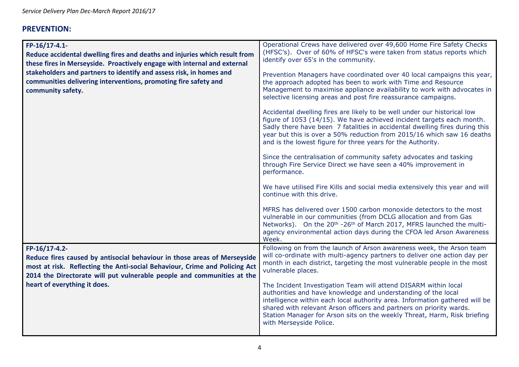## **PREVENTION:**

| FP-16/17-4.1-<br>Reduce accidental dwelling fires and deaths and injuries which result from<br>these fires in Merseyside. Proactively engage with internal and external<br>stakeholders and partners to identify and assess risk, in homes and<br>communities delivering interventions, promoting fire safety and<br>community safety. | Operational Crews have delivered over 49,600 Home Fire Safety Checks<br>(HFSC's). Over of 60% of HFSC's were taken from status reports which<br>identify over 65's in the community.<br>Prevention Managers have coordinated over 40 local campaigns this year,<br>the approach adopted has been to work with Time and Resource<br>Management to maximise appliance availability to work with advocates in<br>selective licensing areas and post fire reassurance campaigns.<br>Accidental dwelling fires are likely to be well under our historical low |
|----------------------------------------------------------------------------------------------------------------------------------------------------------------------------------------------------------------------------------------------------------------------------------------------------------------------------------------|----------------------------------------------------------------------------------------------------------------------------------------------------------------------------------------------------------------------------------------------------------------------------------------------------------------------------------------------------------------------------------------------------------------------------------------------------------------------------------------------------------------------------------------------------------|
|                                                                                                                                                                                                                                                                                                                                        | figure of 1053 (14/15). We have achieved incident targets each month.<br>Sadly there have been 7 fatalities in accidental dwelling fires during this<br>year but this is over a 50% reduction from 2015/16 which saw 16 deaths<br>and is the lowest figure for three years for the Authority.                                                                                                                                                                                                                                                            |
|                                                                                                                                                                                                                                                                                                                                        | Since the centralisation of community safety advocates and tasking<br>through Fire Service Direct we have seen a 40% improvement in<br>performance.                                                                                                                                                                                                                                                                                                                                                                                                      |
|                                                                                                                                                                                                                                                                                                                                        | We have utilised Fire Kills and social media extensively this year and will<br>continue with this drive.                                                                                                                                                                                                                                                                                                                                                                                                                                                 |
|                                                                                                                                                                                                                                                                                                                                        | MFRS has delivered over 1500 carbon monoxide detectors to the most<br>vulnerable in our communities (from DCLG allocation and from Gas<br>Networks). On the 20 <sup>th</sup> -26 <sup>th</sup> of March 2017, MFRS launched the multi-<br>agency environmental action days during the CFOA led Arson Awareness<br>Week.                                                                                                                                                                                                                                  |
| FP-16/17-4.2-<br>Reduce fires caused by antisocial behaviour in those areas of Merseyside<br>most at risk. Reflecting the Anti-social Behaviour, Crime and Policing Act<br>2014 the Directorate will put vulnerable people and communities at the                                                                                      | Following on from the launch of Arson awareness week, the Arson team<br>will co-ordinate with multi-agency partners to deliver one action day per<br>month in each district, targeting the most vulnerable people in the most<br>vulnerable places.                                                                                                                                                                                                                                                                                                      |
| heart of everything it does.                                                                                                                                                                                                                                                                                                           | The Incident Investigation Team will attend DISARM within local<br>authorities and have knowledge and understanding of the local<br>intelligence within each local authority area. Information gathered will be<br>shared with relevant Arson officers and partners on priority wards.<br>Station Manager for Arson sits on the weekly Threat, Harm, Risk briefing<br>with Merseyside Police.                                                                                                                                                            |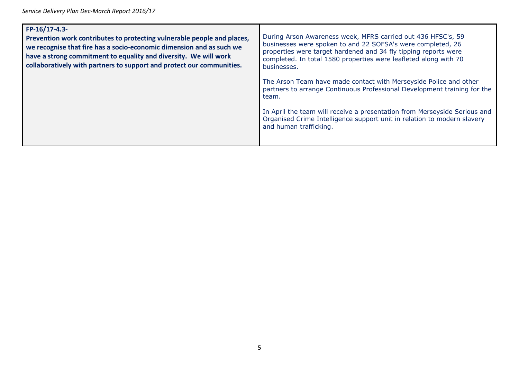*Service Delivery Plan Dec-March Report 2016/17*

| FP-16/17-4.3-<br>Prevention work contributes to protecting vulnerable people and places,<br>we recognise that fire has a socio-economic dimension and as such we<br>have a strong commitment to equality and diversity. We will work<br>collaboratively with partners to support and protect our communities. | During Arson Awareness week, MFRS carried out 436 HFSC's, 59<br>businesses were spoken to and 22 SOFSA's were completed, 26<br>properties were target hardened and 34 fly tipping reports were<br>completed. In total 1580 properties were leafleted along with 70<br>businesses. |
|---------------------------------------------------------------------------------------------------------------------------------------------------------------------------------------------------------------------------------------------------------------------------------------------------------------|-----------------------------------------------------------------------------------------------------------------------------------------------------------------------------------------------------------------------------------------------------------------------------------|
|                                                                                                                                                                                                                                                                                                               | The Arson Team have made contact with Merseyside Police and other<br>partners to arrange Continuous Professional Development training for the<br>team.                                                                                                                            |
|                                                                                                                                                                                                                                                                                                               | In April the team will receive a presentation from Merseyside Serious and<br>Organised Crime Intelligence support unit in relation to modern slavery<br>and human trafficking.                                                                                                    |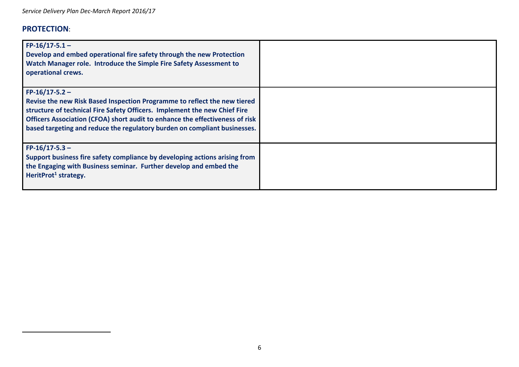## **PROTECTION**:

| $FP-16/17-5.1-$<br>Develop and embed operational fire safety through the new Protection<br>Watch Manager role. Introduce the Simple Fire Safety Assessment to<br>operational crews.                                                                                                                                                    |  |
|----------------------------------------------------------------------------------------------------------------------------------------------------------------------------------------------------------------------------------------------------------------------------------------------------------------------------------------|--|
| $FP-16/17-5.2$ –<br>Revise the new Risk Based Inspection Programme to reflect the new tiered<br>structure of technical Fire Safety Officers. Implement the new Chief Fire<br>Officers Association (CFOA) short audit to enhance the effectiveness of risk<br>based targeting and reduce the regulatory burden on compliant businesses. |  |
| $FP-16/17-5.3$ -<br>Support business fire safety compliance by developing actions arising from<br>the Engaging with Business seminar. Further develop and embed the<br>HeritProt <sup>1</sup> strategy.                                                                                                                                |  |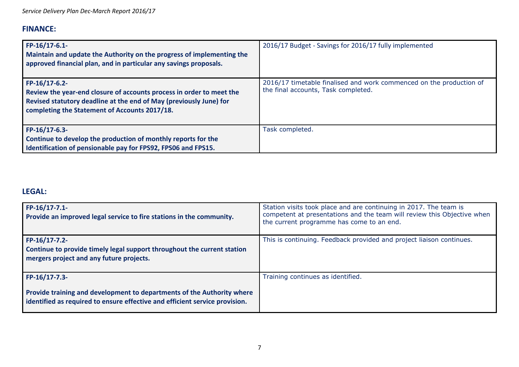# **FINANCE:**

| $FP-16/17-6.1$<br>Maintain and update the Authority on the progress of implementing the<br>approved financial plan, and in particular any savings proposals.                                                 | 2016/17 Budget - Savings for 2016/17 fully implemented                                                     |
|--------------------------------------------------------------------------------------------------------------------------------------------------------------------------------------------------------------|------------------------------------------------------------------------------------------------------------|
| FP-16/17-6.2-<br>Review the year-end closure of accounts process in order to meet the<br>Revised statutory deadline at the end of May (previously June) for<br>completing the Statement of Accounts 2017/18. | 2016/17 timetable finalised and work commenced on the production of<br>the final accounts, Task completed. |
| FP-16/17-6.3-<br>Continue to develop the production of monthly reports for the<br>Identification of pensionable pay for FPS92, FPS06 and FPS15.                                                              | Task completed.                                                                                            |

## **LEGAL:**

| FP-16/17-7.1-<br>Provide an improved legal service to fire stations in the community.                                                                                  | Station visits took place and are continuing in 2017. The team is<br>competent at presentations and the team will review this Objective when<br>the current programme has come to an end. |
|------------------------------------------------------------------------------------------------------------------------------------------------------------------------|-------------------------------------------------------------------------------------------------------------------------------------------------------------------------------------------|
| FP-16/17-7.2-<br>Continue to provide timely legal support throughout the current station<br>mergers project and any future projects.                                   | This is continuing. Feedback provided and project liaison continues.                                                                                                                      |
| FP-16/17-7.3-<br>Provide training and development to departments of the Authority where<br>identified as required to ensure effective and efficient service provision. | Training continues as identified.                                                                                                                                                         |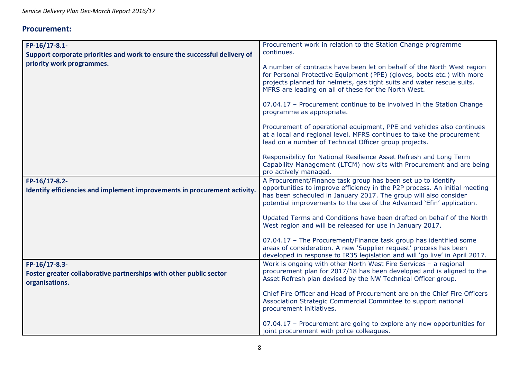## **Procurement:**

| FP-16/17-8.1-                                                                                         | Procurement work in relation to the Station Change programme                                                                                                                                                                                                                            |
|-------------------------------------------------------------------------------------------------------|-----------------------------------------------------------------------------------------------------------------------------------------------------------------------------------------------------------------------------------------------------------------------------------------|
| Support corporate priorities and work to ensure the successful delivery of                            | continues.                                                                                                                                                                                                                                                                              |
| priority work programmes.                                                                             | A number of contracts have been let on behalf of the North West region<br>for Personal Protective Equipment (PPE) (gloves, boots etc.) with more<br>projects planned for helmets, gas tight suits and water rescue suits.<br>MFRS are leading on all of these for the North West.       |
|                                                                                                       | 07.04.17 - Procurement continue to be involved in the Station Change<br>programme as appropriate.                                                                                                                                                                                       |
|                                                                                                       | Procurement of operational equipment, PPE and vehicles also continues<br>at a local and regional level. MFRS continues to take the procurement<br>lead on a number of Technical Officer group projects.                                                                                 |
|                                                                                                       | Responsibility for National Resilience Asset Refresh and Long Term<br>Capability Management (LTCM) now sits with Procurement and are being<br>pro actively managed.                                                                                                                     |
| FP-16/17-8.2-<br>Identify efficiencies and implement improvements in procurement activity.            | A Procurement/Finance task group has been set up to identify<br>opportunities to improve efficiency in the P2P process. An initial meeting<br>has been scheduled in January 2017. The group will also consider<br>potential improvements to the use of the Advanced 'Efin' application. |
|                                                                                                       | Updated Terms and Conditions have been drafted on behalf of the North<br>West region and will be released for use in January 2017.                                                                                                                                                      |
|                                                                                                       | 07.04.17 - The Procurement/Finance task group has identified some<br>areas of consideration. A new 'Supplier request' process has been<br>developed in response to IR35 legislation and will 'go live' in April 2017.                                                                   |
| FP-16/17-8.3-<br>Foster greater collaborative partnerships with other public sector<br>organisations. | Work is ongoing with other North West Fire Services - a regional<br>procurement plan for 2017/18 has been developed and is aligned to the<br>Asset Refresh plan devised by the NW Technical Officer group.                                                                              |
|                                                                                                       | Chief Fire Officer and Head of Procurement are on the Chief Fire Officers<br>Association Strategic Commercial Committee to support national<br>procurement initiatives.                                                                                                                 |
|                                                                                                       | 07.04.17 - Procurement are going to explore any new opportunities for<br>joint procurement with police colleagues.                                                                                                                                                                      |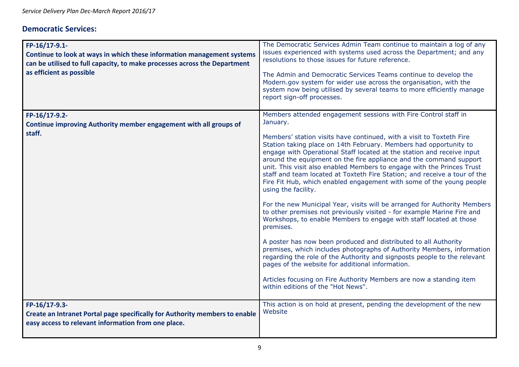### **Democratic Services:**

| FP-16/17-9.1-<br>Continue to look at ways in which these information management systems<br>can be utilised to full capacity, to make processes across the Department<br>as efficient as possible | The Democratic Services Admin Team continue to maintain a log of any<br>issues experienced with systems used across the Department; and any<br>resolutions to those issues for future reference.<br>The Admin and Democratic Services Teams continue to develop the<br>Modern.gov system for wider use across the organisation, with the<br>system now being utilised by several teams to more efficiently manage<br>report sign-off processes.                                                                                                                                                                                                                                                                                                                                                                                                                                                                                                                                                                                                                                                                                                                                                                                                                    |
|--------------------------------------------------------------------------------------------------------------------------------------------------------------------------------------------------|--------------------------------------------------------------------------------------------------------------------------------------------------------------------------------------------------------------------------------------------------------------------------------------------------------------------------------------------------------------------------------------------------------------------------------------------------------------------------------------------------------------------------------------------------------------------------------------------------------------------------------------------------------------------------------------------------------------------------------------------------------------------------------------------------------------------------------------------------------------------------------------------------------------------------------------------------------------------------------------------------------------------------------------------------------------------------------------------------------------------------------------------------------------------------------------------------------------------------------------------------------------------|
| FP-16/17-9.2-<br>Continue improving Authority member engagement with all groups of<br>staff.                                                                                                     | Members attended engagement sessions with Fire Control staff in<br>January.<br>Members' station visits have continued, with a visit to Toxteth Fire<br>Station taking place on 14th February. Members had opportunity to<br>engage with Operational Staff located at the station and receive input<br>around the equipment on the fire appliance and the command support<br>unit. This visit also enabled Members to engage with the Princes Trust<br>staff and team located at Toxteth Fire Station; and receive a tour of the<br>Fire Fit Hub, which enabled engagement with some of the young people<br>using the facility.<br>For the new Municipal Year, visits will be arranged for Authority Members<br>to other premises not previously visited - for example Marine Fire and<br>Workshops, to enable Members to engage with staff located at those<br>premises.<br>A poster has now been produced and distributed to all Authority<br>premises, which includes photographs of Authority Members, information<br>regarding the role of the Authority and signposts people to the relevant<br>pages of the website for additional information.<br>Articles focusing on Fire Authority Members are now a standing item<br>within editions of the "Hot News". |
| FP-16/17-9.3-<br>Create an Intranet Portal page specifically for Authority members to enable<br>easy access to relevant information from one place.                                              | This action is on hold at present, pending the development of the new<br>Website                                                                                                                                                                                                                                                                                                                                                                                                                                                                                                                                                                                                                                                                                                                                                                                                                                                                                                                                                                                                                                                                                                                                                                                   |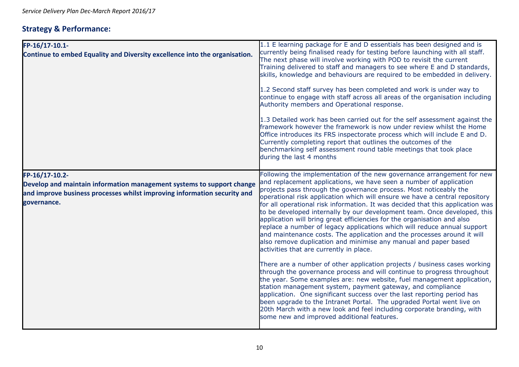# **Strategy & Performance:**

| FP-16/17-10.1-<br>Continue to embed Equality and Diversity excellence into the organisation.                                                                                       | 1.1 E learning package for E and D essentials has been designed and is<br>currently being finalised ready for testing before launching with all staff.<br>The next phase will involve working with POD to revisit the current<br>Training delivered to staff and managers to see where E and D standards,<br>skills, knowledge and behaviours are required to be embedded in delivery.<br>1.2 Second staff survey has been completed and work is under way to<br>continue to engage with staff across all areas of the organisation including<br>Authority members and Operational response.<br>1.3 Detailed work has been carried out for the self assessment against the<br>framework however the framework is now under review whilst the Home<br>Office introduces its FRS inspectorate process which will include E and D.<br>Currently completing report that outlines the outcomes of the<br>benchmarking self assessment round table meetings that took place<br>during the last 4 months                                                                                                                                                                                                                                                                                                                                                                                          |
|------------------------------------------------------------------------------------------------------------------------------------------------------------------------------------|--------------------------------------------------------------------------------------------------------------------------------------------------------------------------------------------------------------------------------------------------------------------------------------------------------------------------------------------------------------------------------------------------------------------------------------------------------------------------------------------------------------------------------------------------------------------------------------------------------------------------------------------------------------------------------------------------------------------------------------------------------------------------------------------------------------------------------------------------------------------------------------------------------------------------------------------------------------------------------------------------------------------------------------------------------------------------------------------------------------------------------------------------------------------------------------------------------------------------------------------------------------------------------------------------------------------------------------------------------------------------------------------|
| FP-16/17-10.2-<br>Develop and maintain information management systems to support change<br>and improve business processes whilst improving information security and<br>governance. | Following the implementation of the new governance arrangement for new<br>and replacement applications, we have seen a number of application<br>projects pass through the governance process. Most noticeably the<br>operational risk application which will ensure we have a central repository<br>for all operational risk information. It was decided that this application was<br>to be developed internally by our development team. Once developed, this<br>application will bring great efficiencies for the organisation and also<br>replace a number of legacy applications which will reduce annual support<br>and maintenance costs. The application and the processes around it will<br>also remove duplication and minimise any manual and paper based<br>activities that are currently in place.<br>There are a number of other application projects / business cases working<br>through the governance process and will continue to progress throughout<br>the year. Some examples are: new website, fuel management application,<br>station management system, payment gateway, and compliance<br>application. One significant success over the last reporting period has<br>been upgrade to the Intranet Portal. The upgraded Portal went live on<br>20th March with a new look and feel including corporate branding, with<br>some new and improved additional features. |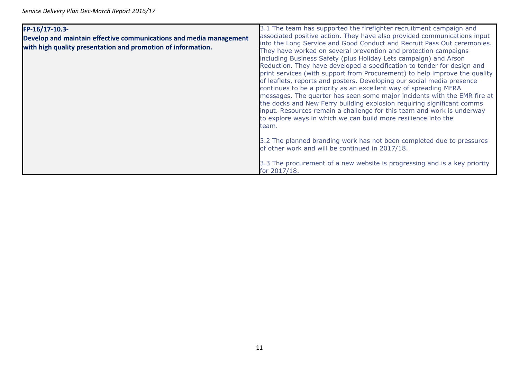| FP-16/17-10.3-<br>Develop and maintain effective communications and media management<br>with high quality presentation and promotion of information. | 3.1 The team has supported the firefighter recruitment campaign and<br>associated positive action. They have also provided communications input<br>into the Long Service and Good Conduct and Recruit Pass Out ceremonies.<br>They have worked on several prevention and protection campaigns<br>including Business Safety (plus Holiday Lets campaign) and Arson<br>Reduction. They have developed a specification to tender for design and<br>print services (with support from Procurement) to help improve the quality<br>of leaflets, reports and posters. Developing our social media presence<br>continues to be a priority as an excellent way of spreading MFRA<br>messages. The quarter has seen some major incidents with the EMR fire at<br>the docks and New Ferry building explosion requiring significant comms<br>input. Resources remain a challenge for this team and work is underway<br>to explore ways in which we can build more resilience into the<br>team. |
|------------------------------------------------------------------------------------------------------------------------------------------------------|-------------------------------------------------------------------------------------------------------------------------------------------------------------------------------------------------------------------------------------------------------------------------------------------------------------------------------------------------------------------------------------------------------------------------------------------------------------------------------------------------------------------------------------------------------------------------------------------------------------------------------------------------------------------------------------------------------------------------------------------------------------------------------------------------------------------------------------------------------------------------------------------------------------------------------------------------------------------------------------|
|                                                                                                                                                      | 3.2 The planned branding work has not been completed due to pressures<br>of other work and will be continued in 2017/18.<br>3.3 The procurement of a new website is progressing and is a key priority                                                                                                                                                                                                                                                                                                                                                                                                                                                                                                                                                                                                                                                                                                                                                                               |
|                                                                                                                                                      | for 2017/18.                                                                                                                                                                                                                                                                                                                                                                                                                                                                                                                                                                                                                                                                                                                                                                                                                                                                                                                                                                        |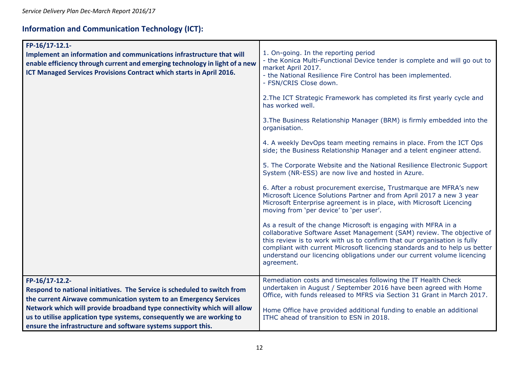# **Information and Communication Technology (ICT):**

| FP-16/17-12.1-<br>Implement an information and communications infrastructure that will<br>enable efficiency through current and emerging technology in light of a new<br>ICT Managed Services Provisions Contract which starts in April 2016.                                                                                                                                        | 1. On-going. In the reporting period<br>- the Konica Multi-Functional Device tender is complete and will go out to<br>market April 2017.<br>- the National Resilience Fire Control has been implemented.<br>- FSN/CRIS Close down.<br>2. The ICT Strategic Framework has completed its first yearly cycle and<br>has worked well.<br>3. The Business Relationship Manager (BRM) is firmly embedded into the<br>organisation.<br>4. A weekly DevOps team meeting remains in place. From the ICT Ops<br>side; the Business Relationship Manager and a telent engineer attend.<br>5. The Corporate Website and the National Resilience Electronic Support<br>System (NR-ESS) are now live and hosted in Azure.<br>6. After a robust procurement exercise, Trustmarque are MFRA's new<br>Microsoft Licence Solutions Partner and from April 2017 a new 3 year<br>Microsoft Enterprise agreement is in place, with Microsoft Licencing<br>moving from 'per device' to 'per user'.<br>As a result of the change Microsoft is engaging with MFRA in a<br>collaborative Software Asset Management (SAM) review. The objective of<br>this review is to work with us to confirm that our organisation is fully<br>compliant with current Microsoft licencing standards and to help us better<br>understand our licencing obligations under our current volume licencing<br>agreement. |
|--------------------------------------------------------------------------------------------------------------------------------------------------------------------------------------------------------------------------------------------------------------------------------------------------------------------------------------------------------------------------------------|-----------------------------------------------------------------------------------------------------------------------------------------------------------------------------------------------------------------------------------------------------------------------------------------------------------------------------------------------------------------------------------------------------------------------------------------------------------------------------------------------------------------------------------------------------------------------------------------------------------------------------------------------------------------------------------------------------------------------------------------------------------------------------------------------------------------------------------------------------------------------------------------------------------------------------------------------------------------------------------------------------------------------------------------------------------------------------------------------------------------------------------------------------------------------------------------------------------------------------------------------------------------------------------------------------------------------------------------------------------------------------|
| FP-16/17-12.2-<br>Respond to national initiatives. The Service is scheduled to switch from<br>the current Airwave communication system to an Emergency Services<br>Network which will provide broadband type connectivity which will allow<br>us to utilise application type systems, consequently we are working to<br>ensure the infrastructure and software systems support this. | Remediation costs and timescales following the IT Health Check<br>undertaken in August / September 2016 have been agreed with Home<br>Office, with funds released to MFRS via Section 31 Grant in March 2017.<br>Home Office have provided additional funding to enable an additional<br>ITHC ahead of transition to ESN in 2018.                                                                                                                                                                                                                                                                                                                                                                                                                                                                                                                                                                                                                                                                                                                                                                                                                                                                                                                                                                                                                                           |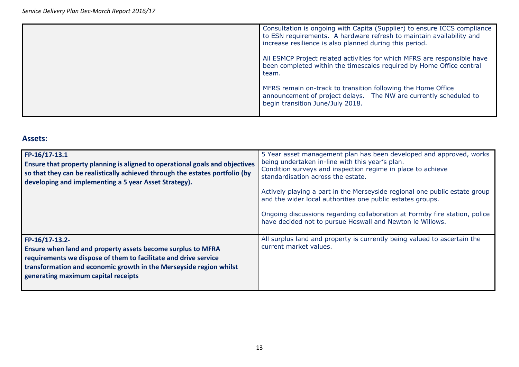| Consultation is ongoing with Capita (Supplier) to ensure ICCS compliance<br>to ESN requirements. A hardware refresh to maintain availability and<br>increase resilience is also planned during this period. |
|-------------------------------------------------------------------------------------------------------------------------------------------------------------------------------------------------------------|
| All ESMCP Project related activities for which MFRS are responsible have<br>been completed within the timescales required by Home Office central<br>team.                                                   |
| MFRS remain on-track to transition following the Home Office<br>announcement of project delays. The NW are currently scheduled to<br>begin transition June/July 2018.                                       |

#### **Assets:**

| $FP-16/17-13.1$<br>Ensure that property planning is aligned to operational goals and objectives<br>so that they can be realistically achieved through the estates portfolio (by<br>developing and implementing a 5 year Asset Strategy).                      | 5 Year asset management plan has been developed and approved, works<br>being undertaken in-line with this year's plan.<br>Condition surveys and inspection regime in place to achieve<br>standardisation across the estate.<br>Actively playing a part in the Merseyside regional one public estate group<br>and the wider local authorities one public estates groups.<br>Ongoing discussions regarding collaboration at Formby fire station, police<br>have decided not to pursue Heswall and Newton le Willows. |
|---------------------------------------------------------------------------------------------------------------------------------------------------------------------------------------------------------------------------------------------------------------|--------------------------------------------------------------------------------------------------------------------------------------------------------------------------------------------------------------------------------------------------------------------------------------------------------------------------------------------------------------------------------------------------------------------------------------------------------------------------------------------------------------------|
| FP-16/17-13.2-<br>Ensure when land and property assets become surplus to MFRA<br>requirements we dispose of them to facilitate and drive service<br>transformation and economic growth in the Merseyside region whilst<br>generating maximum capital receipts | All surplus land and property is currently being valued to ascertain the<br>current market values.                                                                                                                                                                                                                                                                                                                                                                                                                 |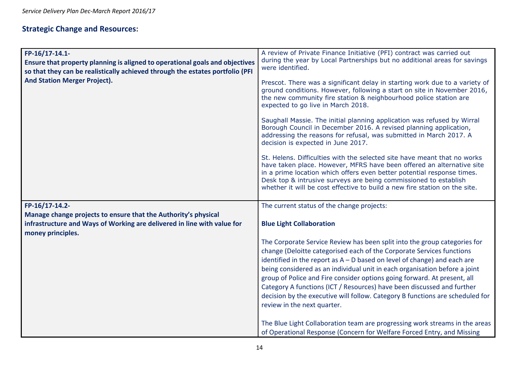# **Strategic Change and Resources:**

| FP-16/17-14.1-<br>Ensure that property planning is aligned to operational goals and objectives<br>so that they can be realistically achieved through the estates portfolio (PFI<br><b>And Station Merger Project).</b> | A review of Private Finance Initiative (PFI) contract was carried out<br>during the year by Local Partnerships but no additional areas for savings<br>were identified.<br>Prescot. There was a significant delay in starting work due to a variety of<br>ground conditions. However, following a start on site in November 2016,<br>the new community fire station & neighbourhood police station are<br>expected to go live in March 2018. |
|------------------------------------------------------------------------------------------------------------------------------------------------------------------------------------------------------------------------|---------------------------------------------------------------------------------------------------------------------------------------------------------------------------------------------------------------------------------------------------------------------------------------------------------------------------------------------------------------------------------------------------------------------------------------------|
|                                                                                                                                                                                                                        | Saughall Massie. The initial planning application was refused by Wirral<br>Borough Council in December 2016. A revised planning application,<br>addressing the reasons for refusal, was submitted in March 2017. A<br>decision is expected in June 2017.                                                                                                                                                                                    |
|                                                                                                                                                                                                                        | St. Helens. Difficulties with the selected site have meant that no works<br>have taken place. However, MFRS have been offered an alternative site<br>in a prime location which offers even better potential response times.<br>Desk top & intrusive surveys are being commissioned to establish<br>whether it will be cost effective to build a new fire station on the site.                                                               |
|                                                                                                                                                                                                                        |                                                                                                                                                                                                                                                                                                                                                                                                                                             |
| FP-16/17-14.2-                                                                                                                                                                                                         | The current status of the change projects:                                                                                                                                                                                                                                                                                                                                                                                                  |
| Manage change projects to ensure that the Authority's physical                                                                                                                                                         |                                                                                                                                                                                                                                                                                                                                                                                                                                             |
| infrastructure and Ways of Working are delivered in line with value for<br>money principles.                                                                                                                           | <b>Blue Light Collaboration</b>                                                                                                                                                                                                                                                                                                                                                                                                             |
|                                                                                                                                                                                                                        | The Corporate Service Review has been split into the group categories for                                                                                                                                                                                                                                                                                                                                                                   |
|                                                                                                                                                                                                                        | change (Deloitte categorised each of the Corporate Services functions                                                                                                                                                                                                                                                                                                                                                                       |
|                                                                                                                                                                                                                        | identified in the report as $A - D$ based on level of change) and each are                                                                                                                                                                                                                                                                                                                                                                  |
|                                                                                                                                                                                                                        | being considered as an individual unit in each organisation before a joint<br>group of Police and Fire consider options going forward. At present, all                                                                                                                                                                                                                                                                                      |
|                                                                                                                                                                                                                        | Category A functions (ICT / Resources) have been discussed and further                                                                                                                                                                                                                                                                                                                                                                      |
|                                                                                                                                                                                                                        | decision by the executive will follow. Category B functions are scheduled for                                                                                                                                                                                                                                                                                                                                                               |
|                                                                                                                                                                                                                        | review in the next quarter.                                                                                                                                                                                                                                                                                                                                                                                                                 |
|                                                                                                                                                                                                                        | The Blue Light Collaboration team are progressing work streams in the areas                                                                                                                                                                                                                                                                                                                                                                 |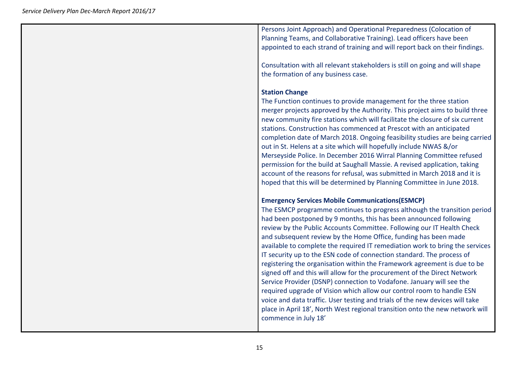Persons Joint Approach) and Operational Preparedness (Colocation of Planning Teams, and Collaborative Training). Lead officers have been appointed to each strand of training and will report back on their findings.

Consultation with all relevant stakeholders is still on going and will shape the formation of any business case.

#### **Station Change**

The Function continues to provide management for the three station merger projects approved by the Authority. This project aims to build three new community fire stations which will facilitate the closure of six current stations. Construction has commenced at Prescot with an anticipated completion date of March 2018. Ongoing feasibility studies are being carried out in St. Helens at a site which will hopefully include NWAS &/or Merseyside Police. In December 2016 Wirral Planning Committee refused permission for the build at Saughall Massie. A revised application, taking account of the reasons for refusal, was submitted in March 2018 and it is hoped that this will be determined by Planning Committee in June 2018.

#### **Emergency Services Mobile Communications(ESMCP)**

The ESMCP programme continues to progress although the transition period had been postponed by 9 months, this has been announced following review by the Public Accounts Committee. Following our IT Health Check and subsequent review by the Home Office, funding has been made available to complete the required IT remediation work to bring the services IT security up to the ESN code of connection standard. The process of registering the organisation within the Framework agreement is due to be signed off and this will allow for the procurement of the Direct Network Service Provider (DSNP) connection to Vodafone. January will see the required upgrade of Vision which allow our control room to handle ESN voice and data traffic. User testing and trials of the new devices will take place in April 18', North West regional transition onto the new network will commence in July 18'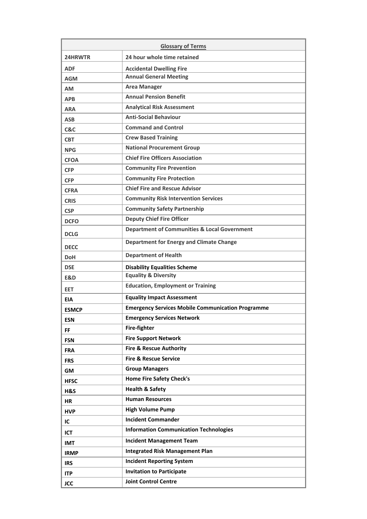| <b>Glossary of Terms</b> |                                                          |  |
|--------------------------|----------------------------------------------------------|--|
| 24HRWTR                  | 24 hour whole time retained                              |  |
| <b>ADF</b>               | <b>Accidental Dwelling Fire</b>                          |  |
| <b>AGM</b>               | <b>Annual General Meeting</b>                            |  |
| <b>AM</b>                | <b>Area Manager</b>                                      |  |
| <b>APB</b>               | <b>Annual Pension Benefit</b>                            |  |
| <b>ARA</b>               | <b>Analytical Risk Assessment</b>                        |  |
| <b>ASB</b>               | <b>Anti-Social Behaviour</b>                             |  |
| C&C                      | <b>Command and Control</b>                               |  |
| <b>CBT</b>               | <b>Crew Based Training</b>                               |  |
| <b>NPG</b>               | <b>National Procurement Group</b>                        |  |
| <b>CFOA</b>              | <b>Chief Fire Officers Association</b>                   |  |
| <b>CFP</b>               | <b>Community Fire Prevention</b>                         |  |
| <b>CFP</b>               | <b>Community Fire Protection</b>                         |  |
| <b>CFRA</b>              | <b>Chief Fire and Rescue Advisor</b>                     |  |
| <b>CRIS</b>              | <b>Community Risk Intervention Services</b>              |  |
| <b>CSP</b>               | <b>Community Safety Partnership</b>                      |  |
| <b>DCFO</b>              | <b>Deputy Chief Fire Officer</b>                         |  |
| <b>DCLG</b>              | <b>Department of Communities &amp; Local Government</b>  |  |
| <b>DECC</b>              | <b>Department for Energy and Climate Change</b>          |  |
| <b>DoH</b>               | <b>Department of Health</b>                              |  |
| <b>DSE</b>               | <b>Disability Equalities Scheme</b>                      |  |
| E&D                      | <b>Equality &amp; Diversity</b>                          |  |
| <b>EET</b>               | <b>Education, Employment or Training</b>                 |  |
| <b>EIA</b>               | <b>Equality Impact Assessment</b>                        |  |
| <b>ESMCP</b>             | <b>Emergency Services Mobile Communication Programme</b> |  |
| <b>ESN</b>               | <b>Emergency Services Network</b>                        |  |
| <b>FF</b>                | Fire-fighter                                             |  |
| <b>FSN</b>               | <b>Fire Support Network</b>                              |  |
| <b>FRA</b>               | <b>Fire &amp; Rescue Authority</b>                       |  |
| <b>FRS</b>               | <b>Fire &amp; Rescue Service</b>                         |  |
| <b>GM</b>                | <b>Group Managers</b>                                    |  |
| <b>HFSC</b>              | <b>Home Fire Safety Check's</b>                          |  |
| H&S                      | <b>Health &amp; Safety</b>                               |  |
| <b>HR</b>                | <b>Human Resources</b>                                   |  |
| <b>HVP</b>               | <b>High Volume Pump</b>                                  |  |
| IC                       | <b>Incident Commander</b>                                |  |
| <b>ICT</b>               | <b>Information Communication Technologies</b>            |  |
| <b>IMT</b>               | <b>Incident Management Team</b>                          |  |
| <b>IRMP</b>              | <b>Integrated Risk Management Plan</b>                   |  |
| <b>IRS</b>               | <b>Incident Reporting System</b>                         |  |
| <b>ITP</b>               | <b>Invitation to Participate</b>                         |  |
| <b>JCC</b>               | <b>Joint Control Centre</b>                              |  |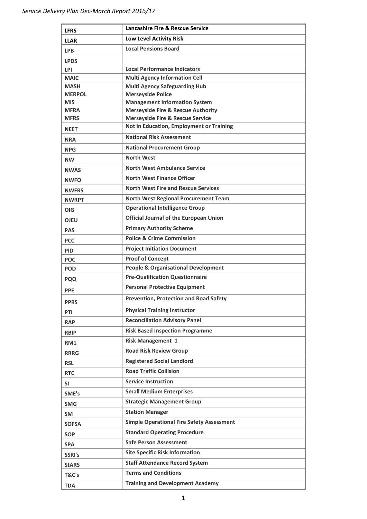| <b>LFRS</b>               | <b>Lancashire Fire &amp; Rescue Service</b>                                           |
|---------------------------|---------------------------------------------------------------------------------------|
| <b>LLAR</b>               | <b>Low Level Activity Risk</b>                                                        |
| <b>LPB</b>                | <b>Local Pensions Board</b>                                                           |
| <b>LPDS</b>               |                                                                                       |
| <b>LPI</b>                | <b>Local Performance Indicators</b>                                                   |
| <b>MAIC</b>               | <b>Multi Agency Information Cell</b>                                                  |
| <b>MASH</b>               | <b>Multi Agency Safeguarding Hub</b>                                                  |
| <b>MERPOL</b>             | <b>Merseyside Police</b>                                                              |
| <b>MIS</b><br><b>MFRA</b> | <b>Management Information System</b><br><b>Merseyside Fire &amp; Rescue Authority</b> |
| <b>MFRS</b>               | <b>Merseyside Fire &amp; Rescue Service</b>                                           |
| <b>NEET</b>               | Not in Education, Employment or Training                                              |
| <b>NRA</b>                | <b>National Risk Assessment</b>                                                       |
| <b>NPG</b>                | <b>National Procurement Group</b>                                                     |
| <b>NW</b>                 | <b>North West</b>                                                                     |
| <b>NWAS</b>               | <b>North West Ambulance Service</b>                                                   |
| <b>NWFO</b>               | <b>North West Finance Officer</b>                                                     |
| <b>NWFRS</b>              | <b>North West Fire and Rescue Services</b>                                            |
| <b>NWRPT</b>              | <b>North West Regional Procurement Team</b>                                           |
| <b>OIG</b>                | <b>Operational Intelligence Group</b>                                                 |
| <b>OJEU</b>               | <b>Official Journal of the European Union</b>                                         |
| <b>PAS</b>                | <b>Primary Authority Scheme</b>                                                       |
| <b>PCC</b>                | <b>Police &amp; Crime Commission</b>                                                  |
| <b>PID</b>                | <b>Project Initiation Document</b>                                                    |
| <b>POC</b>                | <b>Proof of Concept</b>                                                               |
| <b>POD</b>                | <b>People &amp; Organisational Development</b>                                        |
| <b>PQQ</b>                | <b>Pre-Qualification Questionnaire</b>                                                |
| <b>PPE</b>                | <b>Personal Protective Equipment</b>                                                  |
| <b>PPRS</b>               | <b>Prevention, Protection and Road Safety</b>                                         |
| PTI                       | <b>Physical Training Instructor</b>                                                   |
| <b>RAP</b>                | <b>Reconciliation Advisory Panel</b>                                                  |
| <b>RBIP</b>               | <b>Risk Based Inspection Programme</b>                                                |
| RM1                       | <b>Risk Management 1</b>                                                              |
| <b>RRRG</b>               | <b>Road Risk Review Group</b>                                                         |
| <b>RSL</b>                | <b>Registered Social Landlord</b>                                                     |
| <b>RTC</b>                | <b>Road Traffic Collision</b>                                                         |
| SI                        | <b>Service Instruction</b>                                                            |
| SME's                     | <b>Small Medium Enterprises</b>                                                       |
| <b>SMG</b>                | <b>Strategic Management Group</b>                                                     |
| <b>SM</b>                 | <b>Station Manager</b>                                                                |
| <b>SOFSA</b>              | <b>Simple Operational Fire Safety Assessment</b>                                      |
| <b>SOP</b>                | <b>Standard Operating Procedure</b>                                                   |
| <b>SPA</b>                | <b>Safe Person Assessment</b>                                                         |
| SSRI's                    | <b>Site Specific Risk Information</b>                                                 |
| <b>StARS</b>              | <b>Staff Attendance Record System</b>                                                 |
| T&C's                     | <b>Terms and Conditions</b>                                                           |
| <b>TDA</b>                | <b>Training and Development Academy</b>                                               |